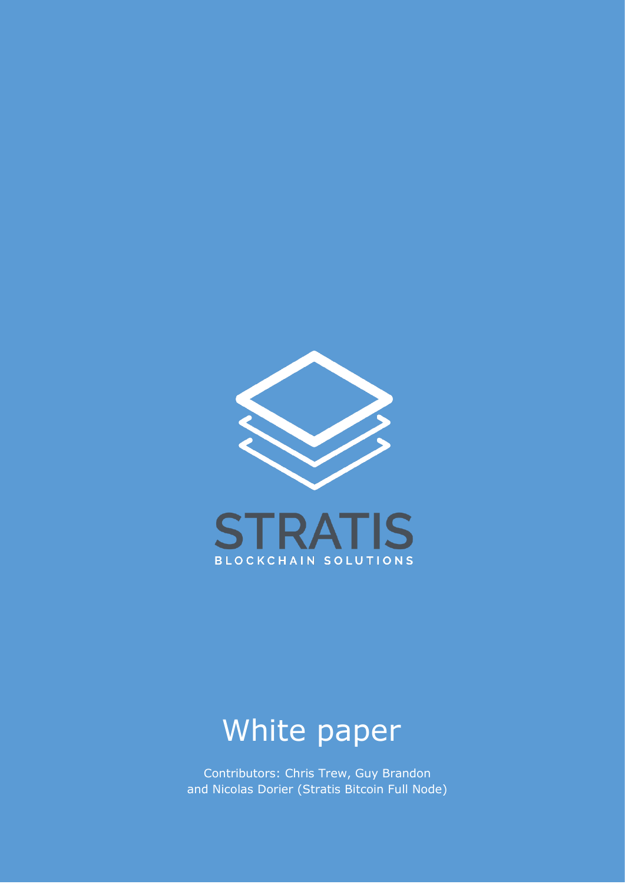

BLOCKCHAIN SOLUTIONS

# White paper

Contributors: Chris Trew, Guy Brandon and Nicolas Dorier (Stratis Bitcoin Full Node)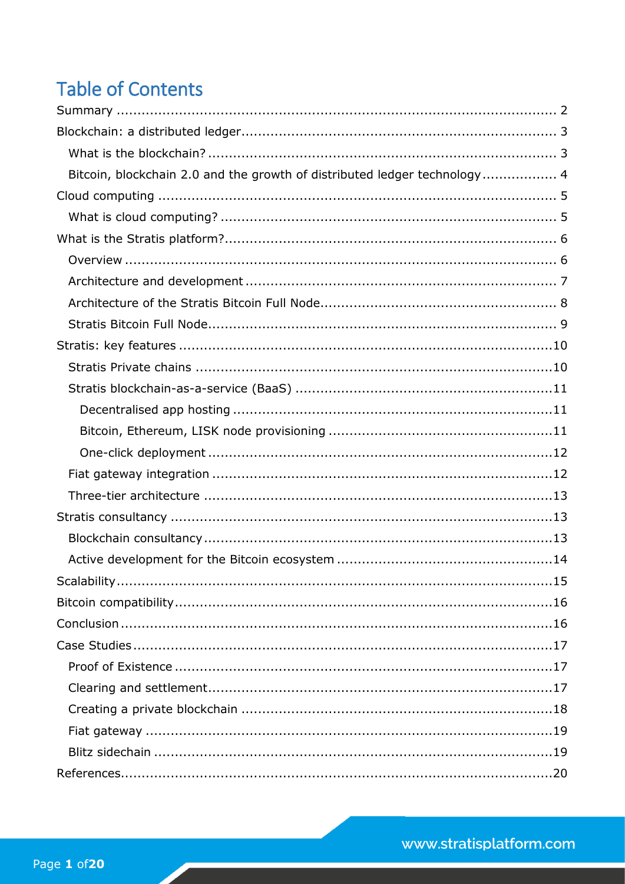# **Table of Contents**

| Bitcoin, blockchain 2.0 and the growth of distributed ledger technology 4 |
|---------------------------------------------------------------------------|
|                                                                           |
|                                                                           |
|                                                                           |
|                                                                           |
|                                                                           |
|                                                                           |
|                                                                           |
|                                                                           |
|                                                                           |
|                                                                           |
|                                                                           |
|                                                                           |
|                                                                           |
|                                                                           |
|                                                                           |
|                                                                           |
|                                                                           |
|                                                                           |
|                                                                           |
|                                                                           |
|                                                                           |
|                                                                           |
|                                                                           |
|                                                                           |
|                                                                           |
|                                                                           |
|                                                                           |
|                                                                           |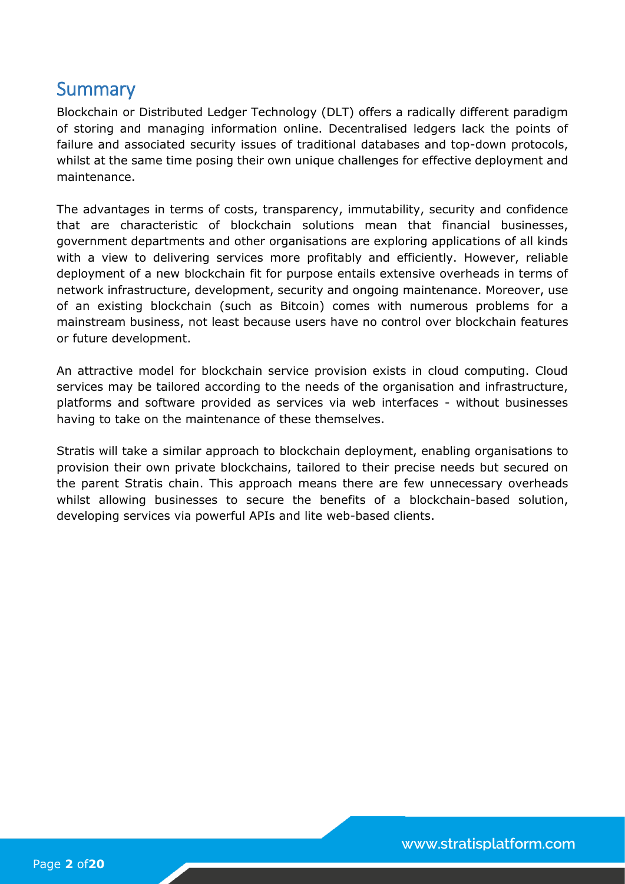# <span id="page-2-0"></span>**Summary**

Blockchain or Distributed Ledger Technology (DLT) offers a radically different paradigm of storing and managing information online. Decentralised ledgers lack the points of failure and associated security issues of traditional databases and top-down protocols, whilst at the same time posing their own unique challenges for effective deployment and maintenance.

The advantages in terms of costs, transparency, immutability, security and confidence that are characteristic of blockchain solutions mean that financial businesses, government departments and other organisations are exploring applications of all kinds with a view to delivering services more profitably and efficiently. However, reliable deployment of a new blockchain fit for purpose entails extensive overheads in terms of network infrastructure, development, security and ongoing maintenance. Moreover, use of an existing blockchain (such as Bitcoin) comes with numerous problems for a mainstream business, not least because users have no control over blockchain features or future development.

An attractive model for blockchain service provision exists in cloud computing. Cloud services may be tailored according to the needs of the organisation and infrastructure, platforms and software provided as services via web interfaces - without businesses having to take on the maintenance of these themselves.

Stratis will take a similar approach to blockchain deployment, enabling organisations to provision their own private blockchains, tailored to their precise needs but secured on the parent Stratis chain. This approach means there are few unnecessary overheads whilst allowing businesses to secure the benefits of a blockchain-based solution, developing services via powerful APIs and lite web-based clients.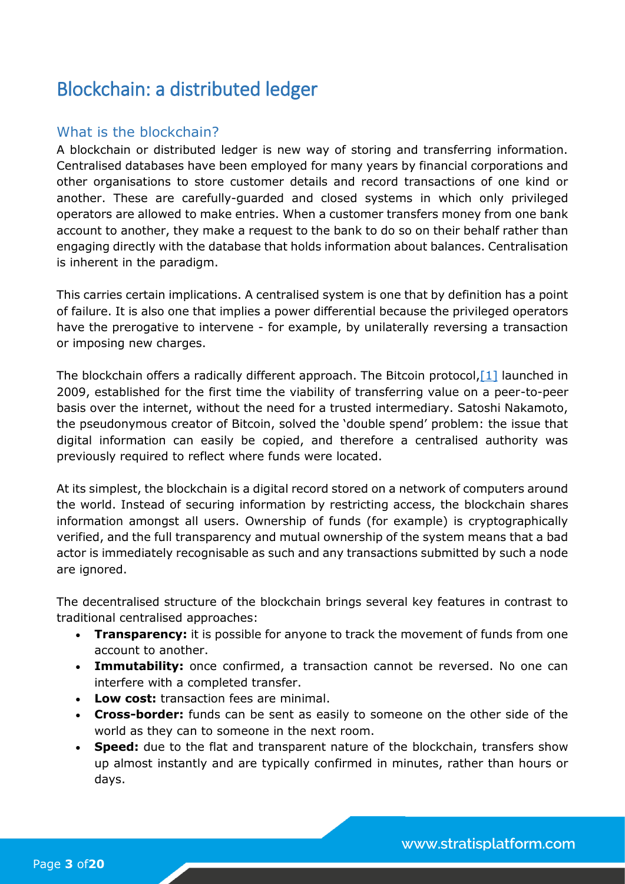# <span id="page-3-0"></span>Blockchain: a distributed ledger

### <span id="page-3-1"></span>What is the blockchain?

A blockchain or distributed ledger is new way of storing and transferring information. Centralised databases have been employed for many years by financial corporations and other organisations to store customer details and record transactions of one kind or another. These are carefully-guarded and closed systems in which only privileged operators are allowed to make entries. When a customer transfers money from one bank account to another, they make a request to the bank to do so on their behalf rather than engaging directly with the database that holds information about balances. Centralisation is inherent in the paradigm.

This carries certain implications. A centralised system is one that by definition has a point of failure. It is also one that implies a power differential because the privileged operators have the prerogative to intervene - for example, by unilaterally reversing a transaction or imposing new charges.

The blockchain offers a radically different approach. The Bitcoin protocol,  $[1]$  launched in 2009, established for the first time the viability of transferring value on a peer-to-peer basis over the internet, without the need for a trusted intermediary. Satoshi Nakamoto, the pseudonymous creator of Bitcoin, solved the 'double spend' problem: the issue that digital information can easily be copied, and therefore a centralised authority was previously required to reflect where funds were located.

At its simplest, the blockchain is a digital record stored on a network of computers around the world. Instead of securing information by restricting access, the blockchain shares information amongst all users. Ownership of funds (for example) is cryptographically verified, and the full transparency and mutual ownership of the system means that a bad actor is immediately recognisable as such and any transactions submitted by such a node are ignored.

The decentralised structure of the blockchain brings several key features in contrast to traditional centralised approaches:

- **Transparency:** it is possible for anyone to track the movement of funds from one account to another.
- **Immutability:** once confirmed, a transaction cannot be reversed. No one can interfere with a completed transfer.
- **Low cost:** transaction fees are minimal.
- **Cross-border:** funds can be sent as easily to someone on the other side of the world as they can to someone in the next room.
- **Speed:** due to the flat and transparent nature of the blockchain, transfers show up almost instantly and are typically confirmed in minutes, rather than hours or days.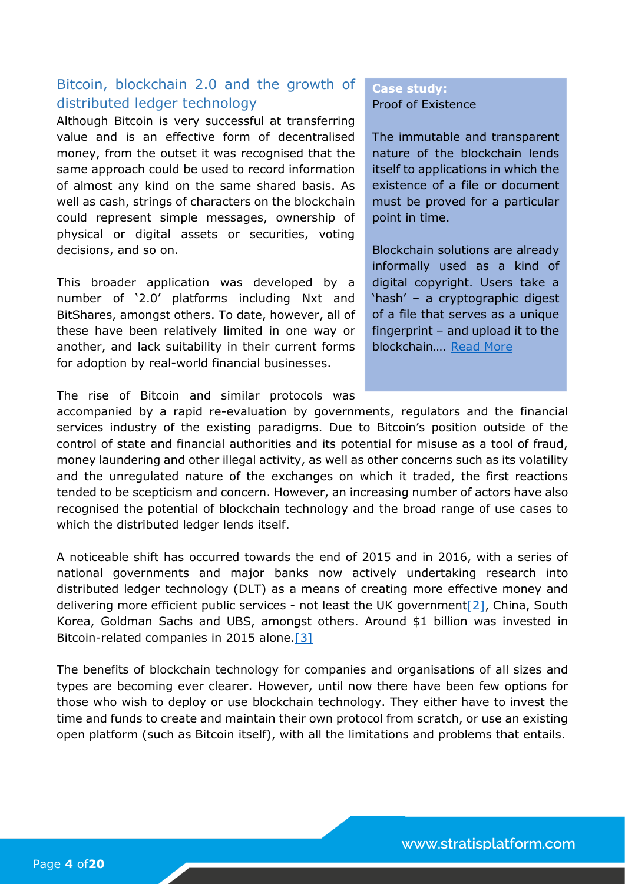### <span id="page-4-0"></span>Bitcoin, blockchain 2.0 and the growth of distributed ledger technology

Although Bitcoin is very successful at transferring value and is an effective form of decentralised money, from the outset it was recognised that the same approach could be used to record information of almost any kind on the same shared basis. As well as cash, strings of characters on the blockchain could represent simple messages, ownership of physical or digital assets or securities, voting decisions, and so on.

This broader application was developed by a number of '2.0' platforms including Nxt and BitShares, amongst others. To date, however, all of these have been relatively limited in one way or another, and lack suitability in their current forms for adoption by real-world financial businesses.

#### The rise of Bitcoin and similar protocols was

#### **Case study:**  Proof of Existence

The immutable and transparent nature of the blockchain lends itself to applications in which the existence of a file or document must be proved for a particular point in time.

Blockchain solutions are already informally used as a kind of digital copyright. Users take a 'hash' – a cryptographic digest of a file that serves as a unique fingerprint – and upload it to the blockchain…. [Read More](#page-17-1)

accompanied by a rapid re-evaluation by governments, regulators and the financial services industry of the existing paradigms. Due to Bitcoin's position outside of the control of state and financial authorities and its potential for misuse as a tool of fraud, money laundering and other illegal activity, as well as other concerns such as its volatility and the unregulated nature of the exchanges on which it traded, the first reactions tended to be scepticism and concern. However, an increasing number of actors have also recognised the potential of blockchain technology and the broad range of use cases to which the distributed ledger lends itself.

A noticeable shift has occurred towards the end of 2015 and in 2016, with a series of national governments and major banks now actively undertaking research into distributed ledger technology (DLT) as a means of creating more effective money and delivering more efficient public services - not least the UK government<sup>[2]</sup>, China, South Korea, Goldman Sachs and UBS, amongst others. Around \$1 billion was invested in Bitcoin-related companies in 2015 alone[.\[3\]](#page-20-0)

The benefits of blockchain technology for companies and organisations of all sizes and types are becoming ever clearer. However, until now there have been few options for those who wish to deploy or use blockchain technology. They either have to invest the time and funds to create and maintain their own protocol from scratch, or use an existing open platform (such as Bitcoin itself), with all the limitations and problems that entails.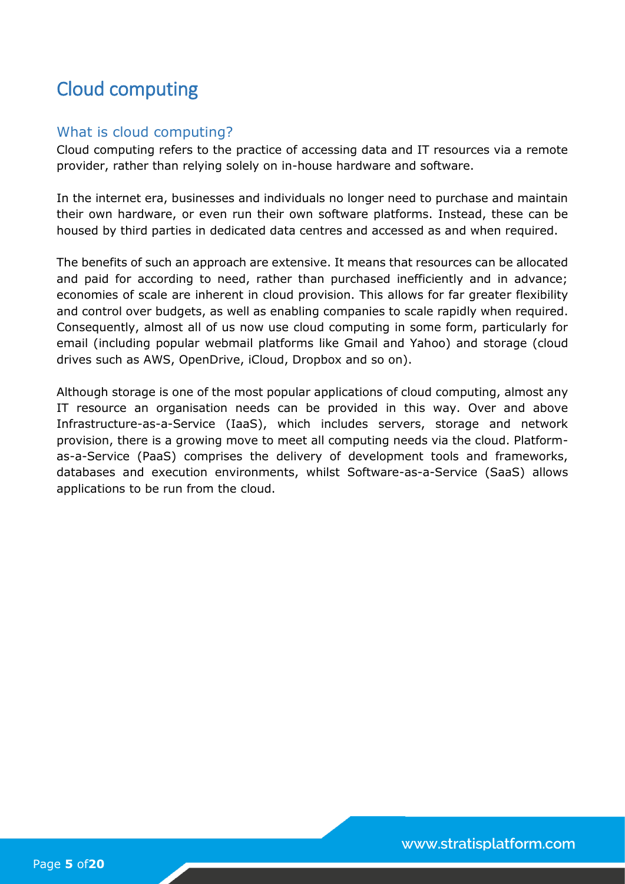# <span id="page-5-0"></span>Cloud computing

### <span id="page-5-1"></span>What is cloud computing?

Cloud computing refers to the practice of accessing data and IT resources via a remote provider, rather than relying solely on in-house hardware and software.

In the internet era, businesses and individuals no longer need to purchase and maintain their own hardware, or even run their own software platforms. Instead, these can be housed by third parties in dedicated data centres and accessed as and when required.

The benefits of such an approach are extensive. It means that resources can be allocated and paid for according to need, rather than purchased inefficiently and in advance; economies of scale are inherent in cloud provision. This allows for far greater flexibility and control over budgets, as well as enabling companies to scale rapidly when required. Consequently, almost all of us now use cloud computing in some form, particularly for email (including popular webmail platforms like Gmail and Yahoo) and storage (cloud drives such as AWS, OpenDrive, iCloud, Dropbox and so on).

Although storage is one of the most popular applications of cloud computing, almost any IT resource an organisation needs can be provided in this way. Over and above Infrastructure-as-a-Service (IaaS), which includes servers, storage and network provision, there is a growing move to meet all computing needs via the cloud. Platformas-a-Service (PaaS) comprises the delivery of development tools and frameworks, databases and execution environments, whilst Software-as-a-Service (SaaS) allows applications to be run from the cloud.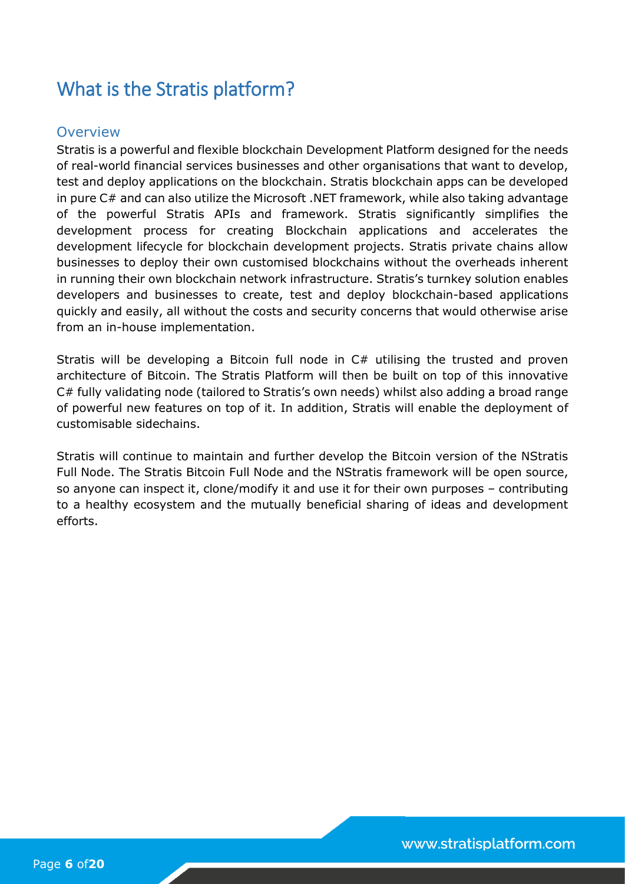# <span id="page-6-0"></span>What is the Stratis platform?

### <span id="page-6-1"></span>**Overview**

Stratis is a powerful and flexible blockchain Development Platform designed for the needs of real-world financial services businesses and other organisations that want to develop, test and deploy applications on the blockchain. Stratis blockchain apps can be developed in pure C# and can also utilize the Microsoft .NET framework, while also taking advantage of the powerful Stratis APIs and framework. Stratis significantly simplifies the development process for creating Blockchain applications and accelerates the development lifecycle for blockchain development projects. Stratis private chains allow businesses to deploy their own customised blockchains without the overheads inherent in running their own blockchain network infrastructure. Stratis's turnkey solution enables developers and businesses to create, test and deploy blockchain-based applications quickly and easily, all without the costs and security concerns that would otherwise arise from an in-house implementation.

Stratis will be developing a Bitcoin full node in C# utilising the trusted and proven architecture of Bitcoin. The Stratis Platform will then be built on top of this innovative C# fully validating node (tailored to Stratis's own needs) whilst also adding a broad range of powerful new features on top of it. In addition, Stratis will enable the deployment of customisable sidechains.

Stratis will continue to maintain and further develop the Bitcoin version of the NStratis Full Node. The Stratis Bitcoin Full Node and the NStratis framework will be open source, so anyone can inspect it, clone/modify it and use it for their own purposes – contributing to a healthy ecosystem and the mutually beneficial sharing of ideas and development efforts.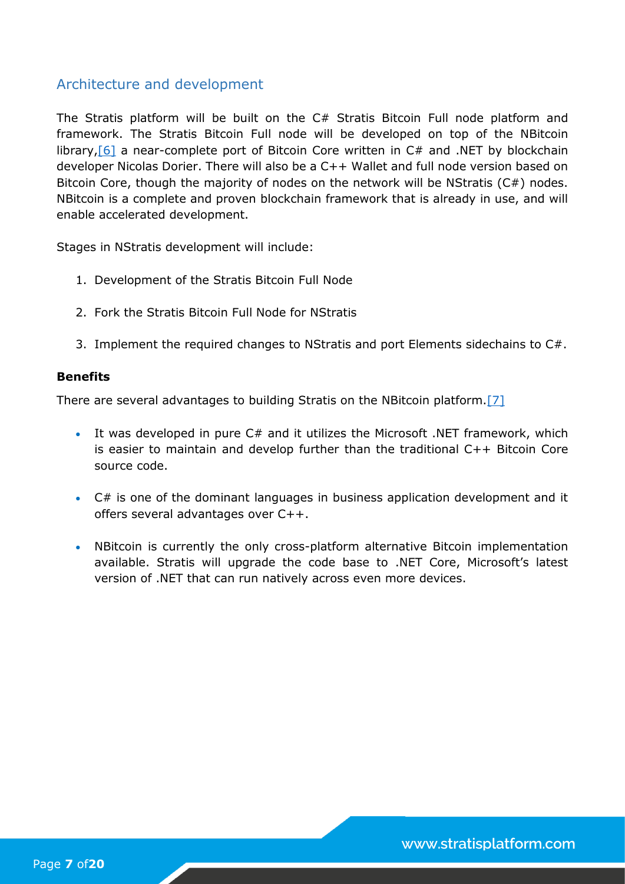### <span id="page-7-0"></span>Architecture and development

The Stratis platform will be built on the C# Stratis Bitcoin Full node platform and framework. The Stratis Bitcoin Full node will be developed on top of the NBitcoin library,  $[6]$  a near-complete port of Bitcoin Core written in  $C#$  and .NET by blockchain developer Nicolas Dorier. There will also be a C++ Wallet and full node version based on Bitcoin Core, though the majority of nodes on the network will be NStratis (C#) nodes. NBitcoin is a complete and proven blockchain framework that is already in use, and will enable accelerated development.

Stages in NStratis development will include:

- 1. Development of the Stratis Bitcoin Full Node
- 2. Fork the Stratis Bitcoin Full Node for NStratis
- 3. Implement the required changes to NStratis and port Elements sidechains to C#.

#### **Benefits**

There are several advantages to building Stratis on the NBitcoin platform[.\[7\]](#page-20-0)

- It was developed in pure C# and it utilizes the Microsoft .NET framework, which is easier to maintain and develop further than the traditional C++ Bitcoin Core source code.
- C# is one of the dominant languages in business application development and it offers several advantages over C++.
- NBitcoin is currently the only cross-platform alternative Bitcoin implementation available. Stratis will upgrade the code base to .NET Core, Microsoft's latest version of .NET that can run natively across even more devices.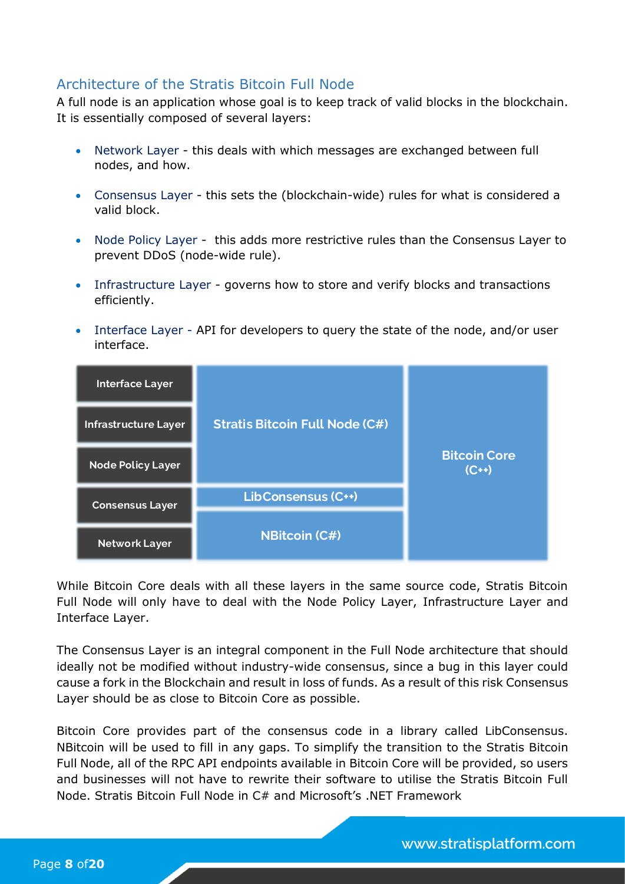### <span id="page-8-0"></span>Architecture of the Stratis Bitcoin Full Node

A full node is an application whose goal is to keep track of valid blocks in the blockchain. It is essentially composed of several layers:

- Network Layer this deals with which messages are exchanged between full nodes, and how.
- Consensus Layer this sets the (blockchain-wide) rules for what is considered a valid block.
- Node Policy Layer this adds more restrictive rules than the Consensus Layer to prevent DDoS (node-wide rule).
- Infrastructure Layer governs how to store and verify blocks and transactions efficiently.
- Interface Layer API for developers to query the state of the node, and/or user interface.

| <b>Interface Layer</b>      |                                       |                                 |
|-----------------------------|---------------------------------------|---------------------------------|
| <b>Infrastructure Layer</b> | <b>Stratis Bitcoin Full Node (C#)</b> |                                 |
| <b>Node Policy Layer</b>    |                                       | <b>Bitcoin Core</b><br>$(C + )$ |
| <b>Consensus Layer</b>      | LibConsensus (C++)                    |                                 |
|                             |                                       |                                 |
| <b>Network Layer</b>        | <b>NBitcoin (C#)</b>                  |                                 |

While Bitcoin Core deals with all these layers in the same source code, Stratis Bitcoin Full Node will only have to deal with the Node Policy Layer, Infrastructure Layer and Interface Layer.

The Consensus Layer is an integral component in the Full Node architecture that should ideally not be modified without industry-wide consensus, since a bug in this layer could cause a fork in the Blockchain and result in loss of funds. As a result of this risk Consensus Layer should be as close to Bitcoin Core as possible.

Bitcoin Core provides part of the consensus code in a library called LibConsensus. NBitcoin will be used to fill in any gaps. To simplify the transition to the Stratis Bitcoin Full Node, all of the RPC API endpoints available in Bitcoin Core will be provided, so users and businesses will not have to rewrite their software to utilise the Stratis Bitcoin Full Node. Stratis Bitcoin Full Node in C# and Microsoft's .NET Framework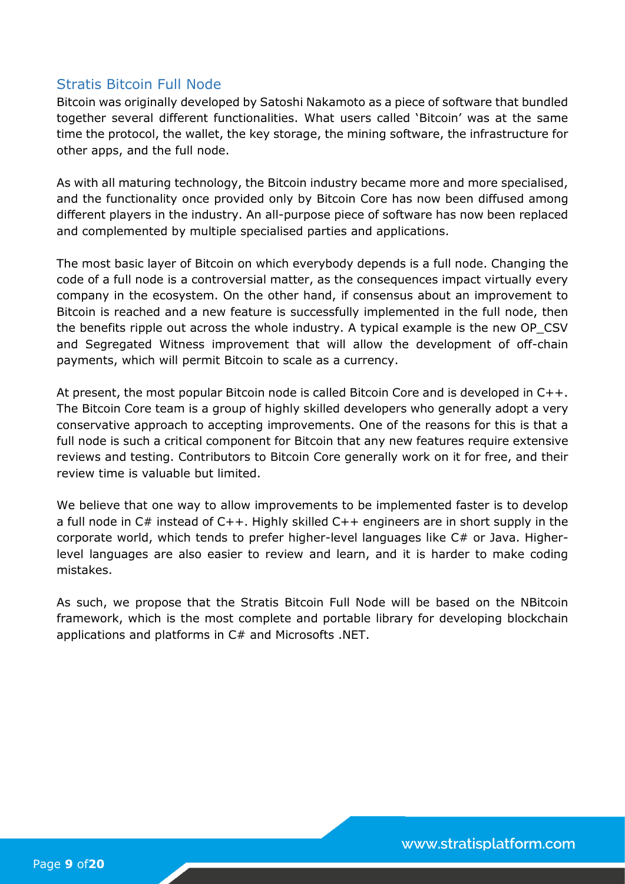### <span id="page-9-0"></span>Stratis Bitcoin Full Node

Bitcoin was originally developed by Satoshi Nakamoto as a piece of software that bundled together several different functionalities. What users called 'Bitcoin' was at the same time the protocol, the wallet, the key storage, the mining software, the infrastructure for other apps, and the full node.

As with all maturing technology, the Bitcoin industry became more and more specialised, and the functionality once provided only by Bitcoin Core has now been diffused among different players in the industry. An all-purpose piece of software has now been replaced and complemented by multiple specialised parties and applications.

The most basic layer of Bitcoin on which everybody depends is a full node. Changing the code of a full node is a controversial matter, as the consequences impact virtually every company in the ecosystem. On the other hand, if consensus about an improvement to Bitcoin is reached and a new feature is successfully implemented in the full node, then the benefits ripple out across the whole industry. A typical example is the new OP\_CSV and Segregated Witness improvement that will allow the development of off-chain payments, which will permit Bitcoin to scale as a currency.

At present, the most popular Bitcoin node is called Bitcoin Core and is developed in C++. The Bitcoin Core team is a group of highly skilled developers who generally adopt a very conservative approach to accepting improvements. One of the reasons for this is that a full node is such a critical component for Bitcoin that any new features require extensive reviews and testing. Contributors to Bitcoin Core generally work on it for free, and their review time is valuable but limited.

We believe that one way to allow improvements to be implemented faster is to develop a full node in C# instead of C++. Highly skilled C++ engineers are in short supply in the corporate world, which tends to prefer higher-level languages like C# or Java. Higherlevel languages are also easier to review and learn, and it is harder to make coding mistakes.

As such, we propose that the Stratis Bitcoin Full Node will be based on the NBitcoin framework, which is the most complete and portable library for developing blockchain applications and platforms in C# and Microsofts .NET.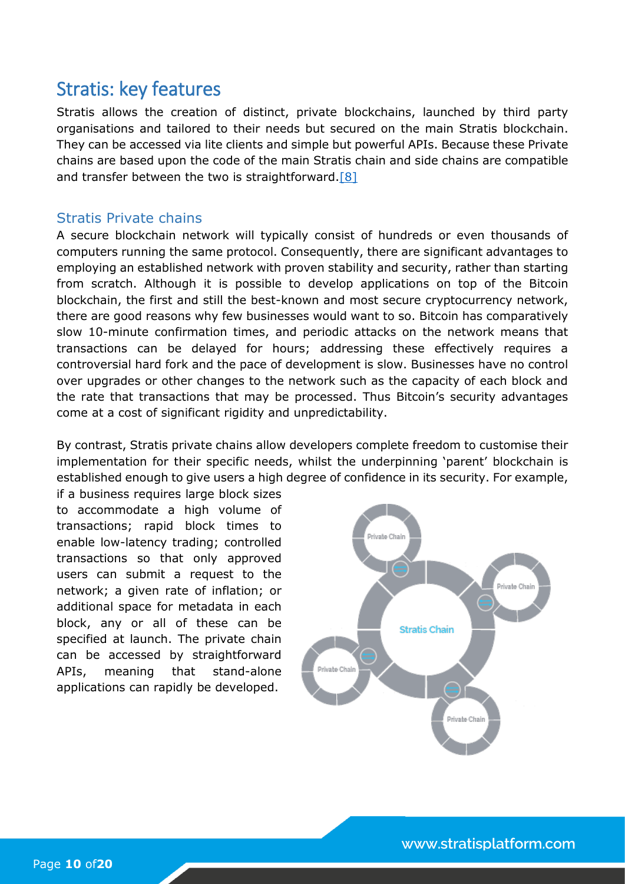# <span id="page-10-0"></span>Stratis: key features

Stratis allows the creation of distinct, private blockchains, launched by third party organisations and tailored to their needs but secured on the main Stratis blockchain. They can be accessed via lite clients and simple but powerful APIs. Because these Private chains are based upon the code of the main Stratis chain and side chains are compatible and transfer between the two is straightforward. $[8]$ 

#### <span id="page-10-1"></span>Stratis Private chains

A secure blockchain network will typically consist of hundreds or even thousands of computers running the same protocol. Consequently, there are significant advantages to employing an established network with proven stability and security, rather than starting from scratch. Although it is possible to develop applications on top of the Bitcoin blockchain, the first and still the best-known and most secure cryptocurrency network, there are good reasons why few businesses would want to so. Bitcoin has comparatively slow 10-minute confirmation times, and periodic attacks on the network means that transactions can be delayed for hours; addressing these effectively requires a controversial hard fork and the pace of development is slow. Businesses have no control over upgrades or other changes to the network such as the capacity of each block and the rate that transactions that may be processed. Thus Bitcoin's security advantages come at a cost of significant rigidity and unpredictability.

By contrast, Stratis private chains allow developers complete freedom to customise their implementation for their specific needs, whilst the underpinning 'parent' blockchain is established enough to give users a high degree of confidence in its security. For example,

if a business requires large block sizes to accommodate a high volume of transactions; rapid block times to enable low-latency trading; controlled transactions so that only approved users can submit a request to the network; a given rate of inflation; or additional space for metadata in each block, any or all of these can be specified at launch. The private chain can be accessed by straightforward APIs, meaning that stand-alone applications can rapidly be developed.

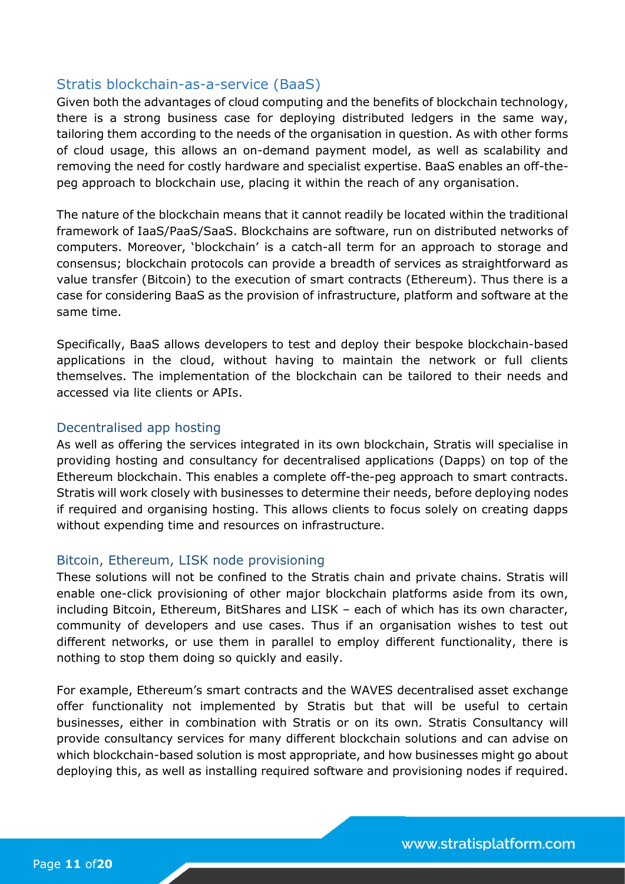#### <span id="page-11-0"></span>Stratis blockchain-as-a-service (BaaS)

Given both the advantages of cloud computing and the benefits of blockchain technology, there is a strong business case for deploying distributed ledgers in the same way, tailoring them according to the needs of the organisation in question. As with other forms of cloud usage, this allows an on-demand payment model, as well as scalability and removing the need for costly hardware and specialist expertise. BaaS enables an off-thepeg approach to blockchain use, placing it within the reach of any organisation.

The nature of the blockchain means that it cannot readily be located within the traditional framework of IaaS/PaaS/SaaS. Blockchains are software, run on distributed networks of computers. Moreover, 'blockchain' is a catch-all term for an approach to storage and consensus; blockchain protocols can provide a breadth of services as straightforward as value transfer (Bitcoin) to the execution of smart contracts (Ethereum). Thus there is a case for considering BaaS as the provision of infrastructure, platform and software at the same time.

Specifically, BaaS allows developers to test and deploy their bespoke blockchain-based applications in the cloud, without having to maintain the network or full clients themselves. The implementation of the blockchain can be tailored to their needs and accessed via lite clients or APIs.

#### <span id="page-11-1"></span>Decentralised app hosting

As well as offering the services integrated in its own blockchain, Stratis will specialise in providing hosting and consultancy for decentralised applications (Dapps) on top of the Ethereum blockchain. This enables a complete off-the-peg approach to smart contracts. Stratis will work closely with businesses to determine their needs, before deploying nodes if required and organising hosting. This allows clients to focus solely on creating dapps without expending time and resources on infrastructure.

#### <span id="page-11-2"></span>Bitcoin, Ethereum, LISK node provisioning

These solutions will not be confined to the Stratis chain and private chains. Stratis will enable one-click provisioning of other major blockchain platforms aside from its own, including Bitcoin, Ethereum, BitShares and LISK – each of which has its own character, community of developers and use cases. Thus if an organisation wishes to test out different networks, or use them in parallel to employ different functionality, there is nothing to stop them doing so quickly and easily.

For example, Ethereum's smart contracts and the WAVES decentralised asset exchange offer functionality not implemented by Stratis but that will be useful to certain businesses, either in combination with Stratis or on its own. Stratis Consultancy will provide consultancy services for many different blockchain solutions and can advise on which blockchain-based solution is most appropriate, and how businesses might go about deploying this, as well as installing required software and provisioning nodes if required.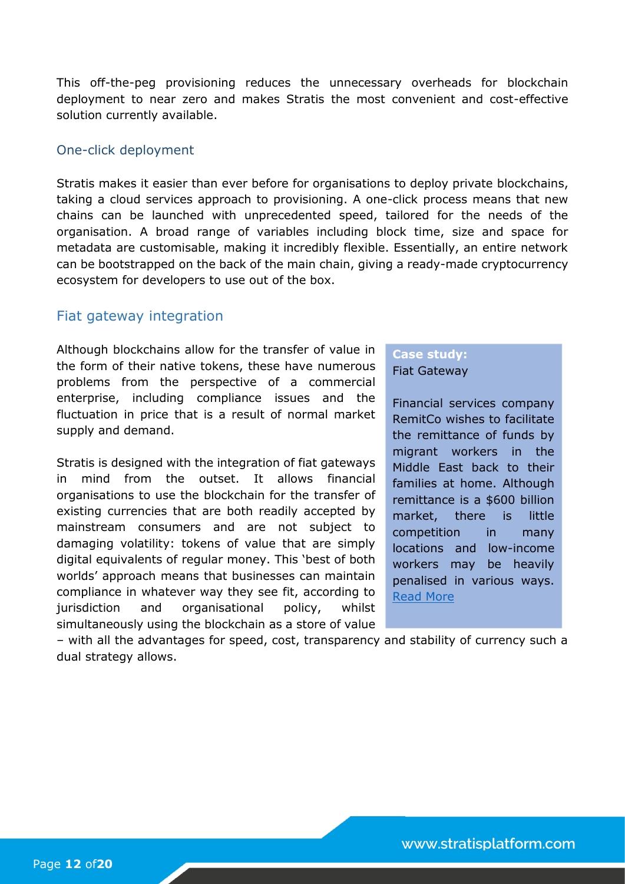This off-the-peg provisioning reduces the unnecessary overheads for blockchain deployment to near zero and makes Stratis the most convenient and cost-effective solution currently available.

#### <span id="page-12-0"></span>One-click deployment

Stratis makes it easier than ever before for organisations to deploy private blockchains, taking a cloud services approach to provisioning. A one-click process means that new chains can be launched with unprecedented speed, tailored for the needs of the organisation. A broad range of variables including block time, size and space for metadata are customisable, making it incredibly flexible. Essentially, an entire network can be bootstrapped on the back of the main chain, giving a ready-made cryptocurrency ecosystem for developers to use out of the box.

#### <span id="page-12-1"></span>Fiat gateway integration

Although blockchains allow for the transfer of value in the form of their native tokens, these have numerous problems from the perspective of a commercial enterprise, including compliance issues and the fluctuation in price that is a result of normal market supply and demand.

Stratis is designed with the integration of fiat gateways in mind from the outset. It allows financial organisations to use the blockchain for the transfer of existing currencies that are both readily accepted by mainstream consumers and are not subject to damaging volatility: tokens of value that are simply digital equivalents of regular money. This 'best of both worlds' approach means that businesses can maintain compliance in whatever way they see fit, according to jurisdiction and organisational policy, whilst simultaneously using the blockchain as a store of value

#### **Case study:**  Fiat Gateway

Financial services company RemitCo wishes to facilitate the remittance of funds by migrant workers in the Middle East back to their families at home. Although remittance is a \$600 billion market, there is little competition in many locations and low-income workers may be heavily penalised in various ways. [Read More](#page-18-1)

– with all the advantages for speed, cost, transparency and stability of currency such a dual strategy allows.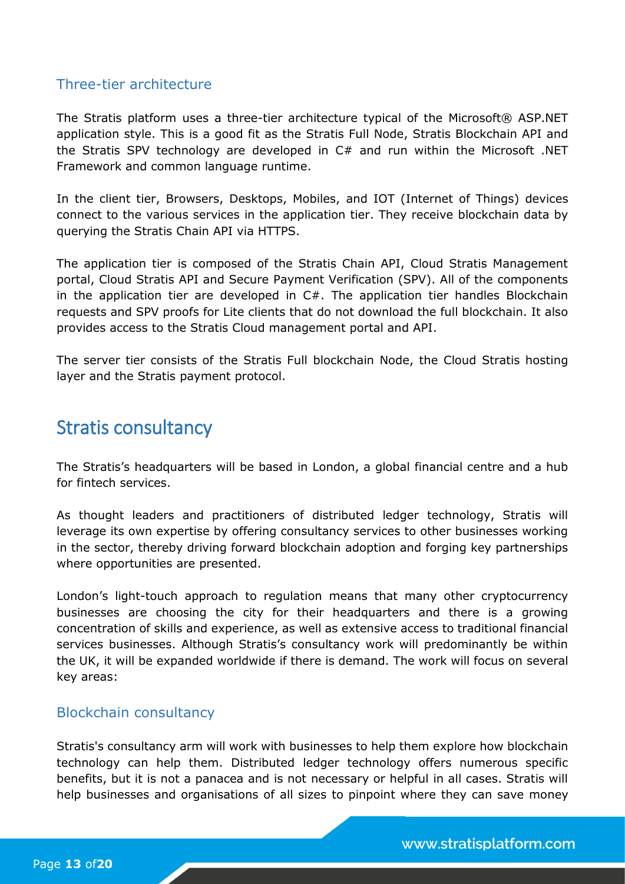#### <span id="page-13-0"></span>Three-tier architecture

The Stratis platform uses a three-tier architecture typical of the Microsoft® ASP.NET application style. This is a good fit as the Stratis Full Node, Stratis Blockchain API and the Stratis SPV technology are developed in  $C#$  and run within the Microsoft .NET Framework and common language runtime.

In the client tier, Browsers, Desktops, Mobiles, and IOT (Internet of Things) devices connect to the various services in the application tier. They receive blockchain data by querying the Stratis Chain API via HTTPS.

The application tier is composed of the Stratis Chain API, Cloud Stratis Management portal, Cloud Stratis API and Secure Payment Verification (SPV). All of the components in the application tier are developed in C#. The application tier handles Blockchain requests and SPV proofs for Lite clients that do not download the full blockchain. It also provides access to the Stratis Cloud management portal and API.

The server tier consists of the Stratis Full blockchain Node, the Cloud Stratis hosting layer and the Stratis payment protocol.

## <span id="page-13-1"></span>Stratis consultancy

The Stratis's headquarters will be based in London, a global financial centre and a hub for fintech services.

As thought leaders and practitioners of distributed ledger technology, Stratis will leverage its own expertise by offering consultancy services to other businesses working in the sector, thereby driving forward blockchain adoption and forging key partnerships where opportunities are presented.

London's light-touch approach to regulation means that many other cryptocurrency businesses are choosing the city for their headquarters and there is a growing concentration of skills and experience, as well as extensive access to traditional financial services businesses. Although Stratis's consultancy work will predominantly be within the UK, it will be expanded worldwide if there is demand. The work will focus on several key areas:

### <span id="page-13-2"></span>Blockchain consultancy

Stratis's consultancy arm will work with businesses to help them explore how blockchain technology can help them. Distributed ledger technology offers numerous specific benefits, but it is not a panacea and is not necessary or helpful in all cases. Stratis will help businesses and organisations of all sizes to pinpoint where they can save money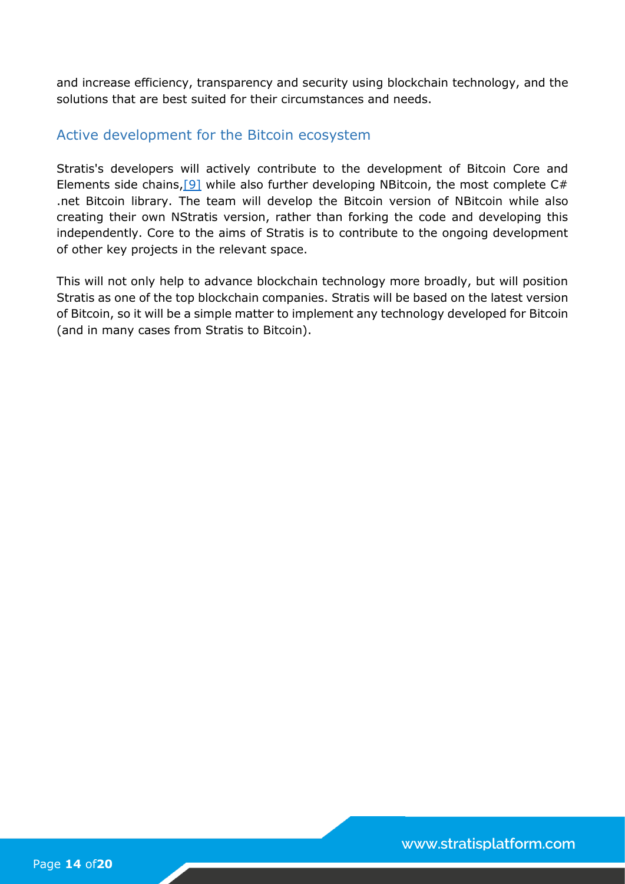and increase efficiency, transparency and security using blockchain technology, and the solutions that are best suited for their circumstances and needs.

#### <span id="page-14-0"></span>Active development for the Bitcoin ecosystem

Stratis's developers will actively contribute to the development of Bitcoin Core and Elements side chains, [9] while also further developing NBitcoin, the most complete  $C#$ .net Bitcoin library. The team will develop the Bitcoin version of NBitcoin while also creating their own NStratis version, rather than forking the code and developing this independently. Core to the aims of Stratis is to contribute to the ongoing development of other key projects in the relevant space.

This will not only help to advance blockchain technology more broadly, but will position Stratis as one of the top blockchain companies. Stratis will be based on the latest version of Bitcoin, so it will be a simple matter to implement any technology developed for Bitcoin (and in many cases from Stratis to Bitcoin).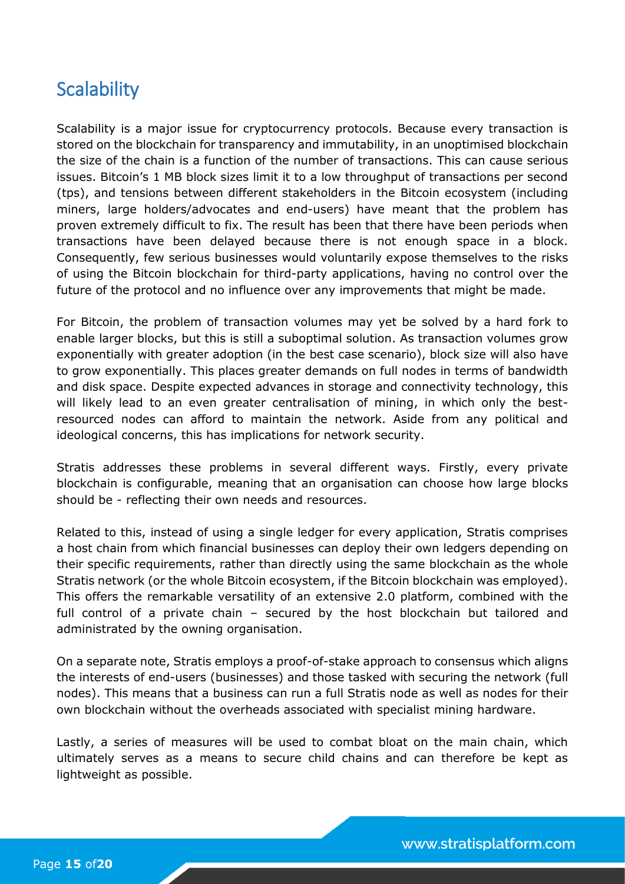# <span id="page-15-0"></span>**Scalability**

Scalability is a major issue for cryptocurrency protocols. Because every transaction is stored on the blockchain for transparency and immutability, in an unoptimised blockchain the size of the chain is a function of the number of transactions. This can cause serious issues. Bitcoin's 1 MB block sizes limit it to a low throughput of transactions per second (tps), and tensions between different stakeholders in the Bitcoin ecosystem (including miners, large holders/advocates and end-users) have meant that the problem has proven extremely difficult to fix. The result has been that there have been periods when transactions have been delayed because there is not enough space in a block. Consequently, few serious businesses would voluntarily expose themselves to the risks of using the Bitcoin blockchain for third-party applications, having no control over the future of the protocol and no influence over any improvements that might be made.

For Bitcoin, the problem of transaction volumes may yet be solved by a hard fork to enable larger blocks, but this is still a suboptimal solution. As transaction volumes grow exponentially with greater adoption (in the best case scenario), block size will also have to grow exponentially. This places greater demands on full nodes in terms of bandwidth and disk space. Despite expected advances in storage and connectivity technology, this will likely lead to an even greater centralisation of mining, in which only the bestresourced nodes can afford to maintain the network. Aside from any political and ideological concerns, this has implications for network security.

Stratis addresses these problems in several different ways. Firstly, every private blockchain is configurable, meaning that an organisation can choose how large blocks should be - reflecting their own needs and resources.

Related to this, instead of using a single ledger for every application, Stratis comprises a host chain from which financial businesses can deploy their own ledgers depending on their specific requirements, rather than directly using the same blockchain as the whole Stratis network (or the whole Bitcoin ecosystem, if the Bitcoin blockchain was employed). This offers the remarkable versatility of an extensive 2.0 platform, combined with the full control of a private chain – secured by the host blockchain but tailored and administrated by the owning organisation.

On a separate note, Stratis employs a proof-of-stake approach to consensus which aligns the interests of end-users (businesses) and those tasked with securing the network (full nodes). This means that a business can run a full Stratis node as well as nodes for their own blockchain without the overheads associated with specialist mining hardware.

Lastly, a series of measures will be used to combat bloat on the main chain, which ultimately serves as a means to secure child chains and can therefore be kept as lightweight as possible.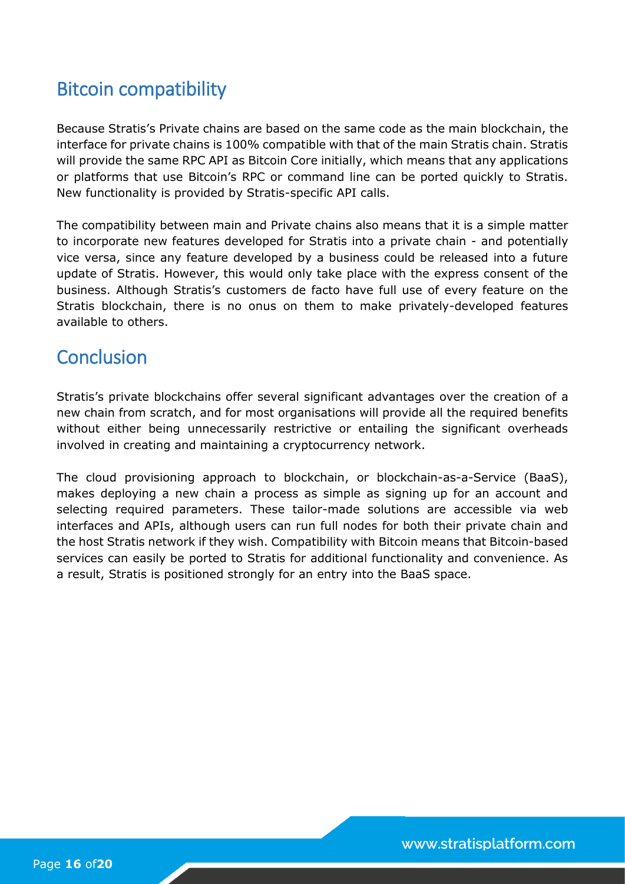# <span id="page-16-0"></span>Bitcoin compatibility

Because Stratis's Private chains are based on the same code as the main blockchain, the interface for private chains is 100% compatible with that of the main Stratis chain. Stratis will provide the same RPC API as Bitcoin Core initially, which means that any applications or platforms that use Bitcoin's RPC or command line can be ported quickly to Stratis. New functionality is provided by Stratis-specific API calls.

The compatibility between main and Private chains also means that it is a simple matter to incorporate new features developed for Stratis into a private chain - and potentially vice versa, since any feature developed by a business could be released into a future update of Stratis. However, this would only take place with the express consent of the business. Although Stratis's customers de facto have full use of every feature on the Stratis blockchain, there is no onus on them to make privately-developed features available to others.

# <span id="page-16-1"></span>**Conclusion**

Stratis's private blockchains offer several significant advantages over the creation of a new chain from scratch, and for most organisations will provide all the required benefits without either being unnecessarily restrictive or entailing the significant overheads involved in creating and maintaining a cryptocurrency network.

The cloud provisioning approach to blockchain, or blockchain-as-a-Service (BaaS), makes deploying a new chain a process as simple as signing up for an account and selecting required parameters. These tailor-made solutions are accessible via web interfaces and APIs, although users can run full nodes for both their private chain and the host Stratis network if they wish. Compatibility with Bitcoin means that Bitcoin-based services can easily be ported to Stratis for additional functionality and convenience. As a result, Stratis is positioned strongly for an entry into the BaaS space.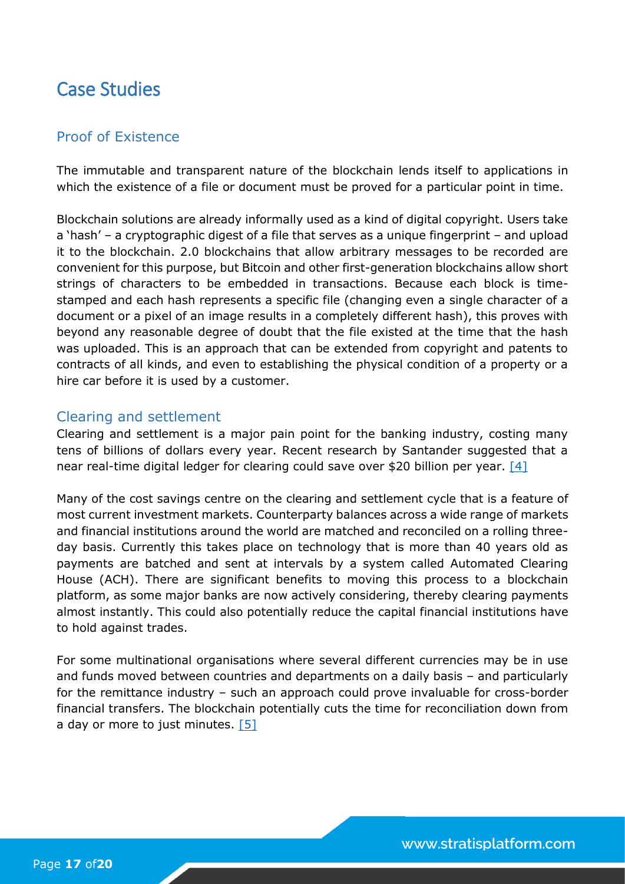# <span id="page-17-0"></span>Case Studies

### <span id="page-17-1"></span>Proof of Existence

The immutable and transparent nature of the blockchain lends itself to applications in which the existence of a file or document must be proved for a particular point in time.

Blockchain solutions are already informally used as a kind of digital copyright. Users take a 'hash' – a cryptographic digest of a file that serves as a unique fingerprint – and upload it to the blockchain. 2.0 blockchains that allow arbitrary messages to be recorded are convenient for this purpose, but Bitcoin and other first-generation blockchains allow short strings of characters to be embedded in transactions. Because each block is timestamped and each hash represents a specific file (changing even a single character of a document or a pixel of an image results in a completely different hash), this proves with beyond any reasonable degree of doubt that the file existed at the time that the hash was uploaded. This is an approach that can be extended from copyright and patents to contracts of all kinds, and even to establishing the physical condition of a property or a hire car before it is used by a customer.

#### <span id="page-17-2"></span>Clearing and settlement

Clearing and settlement is a major pain point for the banking industry, costing many tens of billions of dollars every year. Recent research by Santander suggested that a near real-time digital ledger for clearing could save over \$20 billion per year.  $[4]$ 

Many of the cost savings centre on the clearing and settlement cycle that is a feature of most current investment markets. Counterparty balances across a wide range of markets and financial institutions around the world are matched and reconciled on a rolling threeday basis. Currently this takes place on technology that is more than 40 years old as payments are batched and sent at intervals by a system called Automated Clearing House (ACH). There are significant benefits to moving this process to a blockchain platform, as some major banks are now actively considering, thereby clearing payments almost instantly. This could also potentially reduce the capital financial institutions have to hold against trades.

For some multinational organisations where several different currencies may be in use and funds moved between countries and departments on a daily basis – and particularly for the remittance industry – such an approach could prove invaluable for cross-border financial transfers. The blockchain potentially cuts the time for reconciliation down from a day or more to just minutes. [\[5\]](#page-20-0)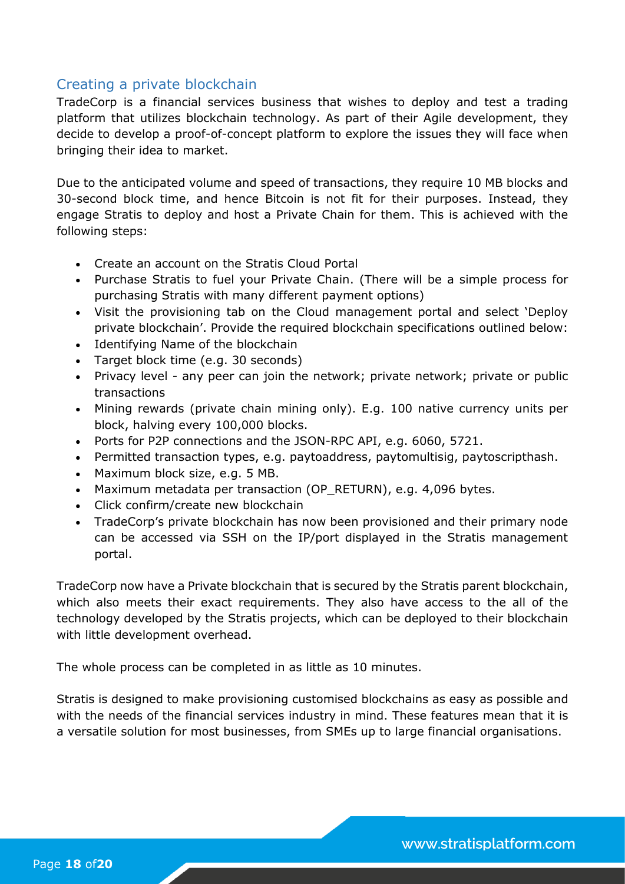### <span id="page-18-0"></span>Creating a private blockchain

TradeCorp is a financial services business that wishes to deploy and test a trading platform that utilizes blockchain technology. As part of their Agile development, they decide to develop a proof-of-concept platform to explore the issues they will face when bringing their idea to market.

Due to the anticipated volume and speed of transactions, they require 10 MB blocks and 30-second block time, and hence Bitcoin is not fit for their purposes. Instead, they engage Stratis to deploy and host a Private Chain for them. This is achieved with the following steps:

- Create an account on the Stratis Cloud Portal
- Purchase Stratis to fuel your Private Chain. (There will be a simple process for purchasing Stratis with many different payment options)
- Visit the provisioning tab on the Cloud management portal and select 'Deploy private blockchain'. Provide the required blockchain specifications outlined below:
- Identifying Name of the blockchain
- Target block time (e.g. 30 seconds)
- Privacy level any peer can join the network; private network; private or public transactions
- Mining rewards (private chain mining only). E.g. 100 native currency units per block, halving every 100,000 blocks.
- Ports for P2P connections and the JSON-RPC API, e.g. 6060, 5721.
- Permitted transaction types, e.g. paytoaddress, paytomultisig, paytoscripthash.
- Maximum block size, e.g. 5 MB.
- Maximum metadata per transaction (OP\_RETURN), e.g. 4,096 bytes.
- Click confirm/create new blockchain
- TradeCorp's private blockchain has now been provisioned and their primary node can be accessed via SSH on the IP/port displayed in the Stratis management portal.

TradeCorp now have a Private blockchain that is secured by the Stratis parent blockchain, which also meets their exact requirements. They also have access to the all of the technology developed by the Stratis projects, which can be deployed to their blockchain with little development overhead.

The whole process can be completed in as little as 10 minutes.

<span id="page-18-1"></span>Stratis is designed to make provisioning customised blockchains as easy as possible and with the needs of the financial services industry in mind. These features mean that it is a versatile solution for most businesses, from SMEs up to large financial organisations.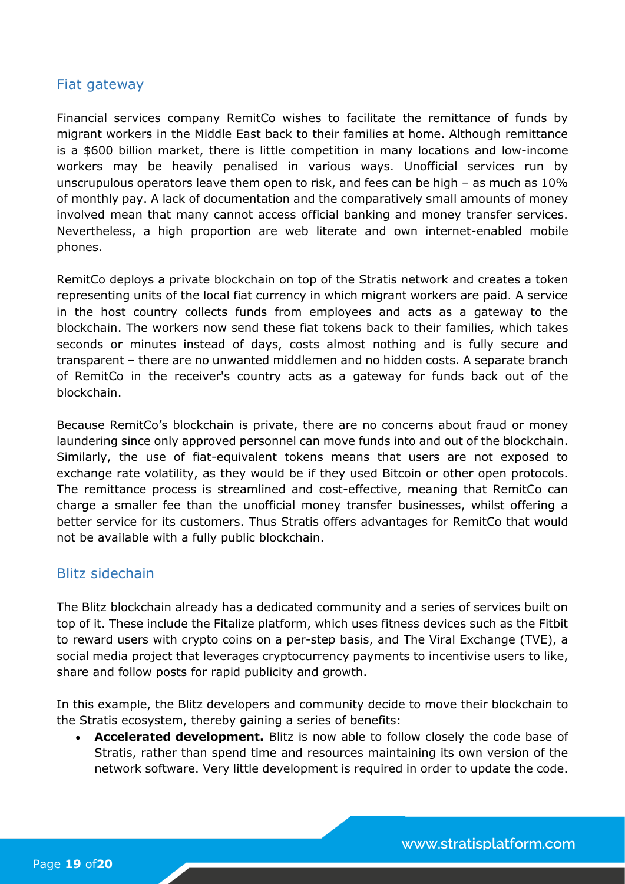### <span id="page-19-0"></span>Fiat gateway

Financial services company RemitCo wishes to facilitate the remittance of funds by migrant workers in the Middle East back to their families at home. Although remittance is a \$600 billion market, there is little competition in many locations and low-income workers may be heavily penalised in various ways. Unofficial services run by unscrupulous operators leave them open to risk, and fees can be high – as much as 10% of monthly pay. A lack of documentation and the comparatively small amounts of money involved mean that many cannot access official banking and money transfer services. Nevertheless, a high proportion are web literate and own internet-enabled mobile phones.

RemitCo deploys a private blockchain on top of the Stratis network and creates a token representing units of the local fiat currency in which migrant workers are paid. A service in the host country collects funds from employees and acts as a gateway to the blockchain. The workers now send these fiat tokens back to their families, which takes seconds or minutes instead of days, costs almost nothing and is fully secure and transparent – there are no unwanted middlemen and no hidden costs. A separate branch of RemitCo in the receiver's country acts as a gateway for funds back out of the blockchain.

Because RemitCo's blockchain is private, there are no concerns about fraud or money laundering since only approved personnel can move funds into and out of the blockchain. Similarly, the use of fiat-equivalent tokens means that users are not exposed to exchange rate volatility, as they would be if they used Bitcoin or other open protocols. The remittance process is streamlined and cost-effective, meaning that RemitCo can charge a smaller fee than the unofficial money transfer businesses, whilst offering a better service for its customers. Thus Stratis offers advantages for RemitCo that would not be available with a fully public blockchain.

### <span id="page-19-1"></span>Blitz sidechain

The Blitz blockchain already has a dedicated community and a series of services built on top of it. These include the Fitalize platform, which uses fitness devices such as the Fitbit to reward users with crypto coins on a per-step basis, and The Viral Exchange (TVE), a social media project that leverages cryptocurrency payments to incentivise users to like, share and follow posts for rapid publicity and growth.

In this example, the Blitz developers and community decide to move their blockchain to the Stratis ecosystem, thereby gaining a series of benefits:

 **Accelerated development.** Blitz is now able to follow closely the code base of Stratis, rather than spend time and resources maintaining its own version of the network software. Very little development is required in order to update the code.